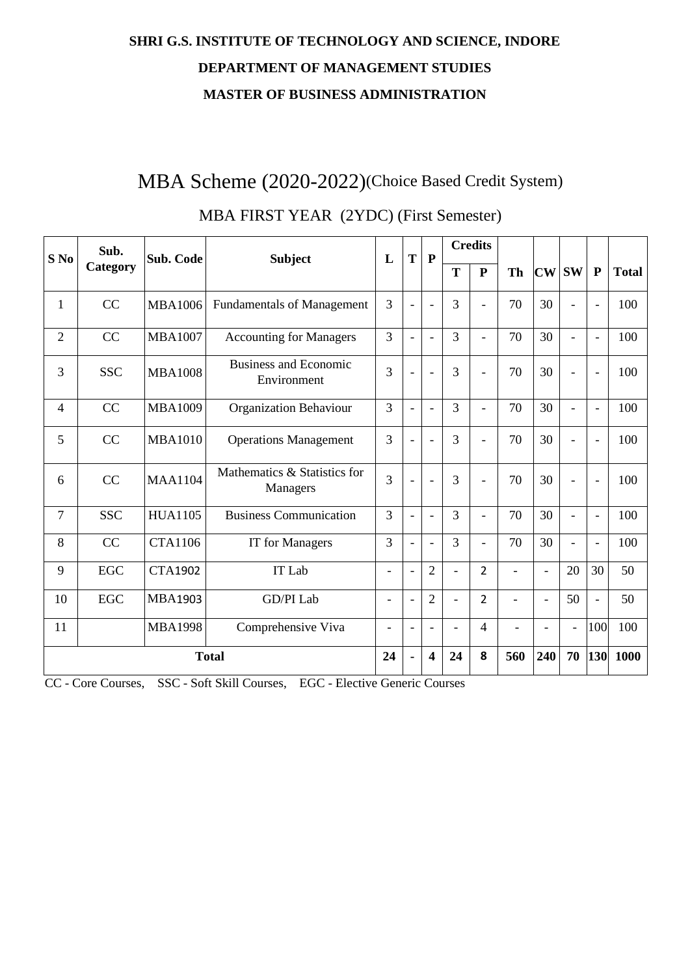# **SHRI G.S. INSTITUTE OF TECHNOLOGY AND SCIENCE, INDORE DEPARTMENT OF MANAGEMENT STUDIES MASTER OF BUSINESS ADMINISTRATION**

# MBA Scheme (2020-2022)(Choice Based Credit System)

| $S$ No         | Sub.       | Sub. Code      | <b>Subject</b>                              | T<br>${\bf P}$<br>L      |                          |                          | <b>Credits</b>           |                |                          |                          |                          |                          |              |
|----------------|------------|----------------|---------------------------------------------|--------------------------|--------------------------|--------------------------|--------------------------|----------------|--------------------------|--------------------------|--------------------------|--------------------------|--------------|
|                | Category   |                |                                             |                          |                          |                          | T                        | ${\bf P}$      | <b>Th</b>                | $\mathbf{CW}$            | <b>SW</b>                | $\mathbf{P}$             | <b>Total</b> |
| $\mathbf{1}$   | CC         | <b>MBA1006</b> | <b>Fundamentals of Management</b>           | 3                        | $\overline{a}$           | $\overline{a}$           | 3                        | $\blacksquare$ | 70                       | 30                       | $\overline{a}$           | $\blacksquare$           | 100          |
| $\overline{2}$ | CC         | <b>MBA1007</b> | <b>Accounting for Managers</b>              | $\overline{3}$           | $\overline{\phantom{a}}$ | $\overline{a}$           | $\overline{3}$           | $\blacksquare$ | 70                       | 30                       | $\overline{\phantom{0}}$ | $\overline{\phantom{0}}$ | 100          |
| 3              | <b>SSC</b> | <b>MBA1008</b> | <b>Business and Economic</b><br>Environment | 3                        | $\overline{\phantom{a}}$ | $\overline{a}$           | 3                        | $\overline{a}$ | 70                       | 30                       | $\overline{a}$           | $\blacksquare$           | 100          |
| $\overline{4}$ | CC         | <b>MBA1009</b> | Organization Behaviour                      | 3                        | $\overline{\phantom{a}}$ | $\overline{a}$           | $\overline{3}$           | $\overline{a}$ | 70                       | 30                       | $\overline{\phantom{0}}$ | $\overline{\phantom{a}}$ | 100          |
| 5              | CC         | <b>MBA1010</b> | <b>Operations Management</b>                | 3                        | $\overline{\phantom{a}}$ | L,                       | 3                        | $\overline{a}$ | 70                       | 30                       | $\overline{a}$           | $\blacksquare$           | 100          |
| 6              | CC         | <b>MAA1104</b> | Mathematics & Statistics for<br>Managers    | 3                        | $\overline{\phantom{a}}$ | $\overline{a}$           | 3                        | $\blacksquare$ | 70                       | 30                       | $\overline{a}$           | $\overline{\phantom{a}}$ | 100          |
| 7              | <b>SSC</b> | <b>HUA1105</b> | <b>Business Communication</b>               | 3                        | $\overline{\phantom{a}}$ | $\overline{\phantom{0}}$ | $\overline{3}$           | $\blacksquare$ | 70                       | 30                       | $\overline{\phantom{0}}$ | $\overline{\phantom{a}}$ | 100          |
| 8              | CC         | <b>CTA1106</b> | <b>IT</b> for Managers                      | $\overline{3}$           | $\overline{\phantom{0}}$ | $\overline{a}$           | $\overline{3}$           | $\overline{a}$ | 70                       | 30                       | ۰                        | $\overline{\phantom{a}}$ | 100          |
| 9              | EGC        | <b>CTA1902</b> | IT Lab                                      | $\equiv$                 | $\overline{\phantom{a}}$ | $\overline{2}$           | $\overline{\phantom{a}}$ | $\overline{2}$ | $\overline{a}$           | $\overline{\phantom{a}}$ | 20                       | 30                       | 50           |
| 10             | <b>EGC</b> | <b>MBA1903</b> | GD/PI Lab                                   | ۳                        | L,                       | $\overline{2}$           | $\overline{a}$           | $\overline{2}$ | $\overline{\phantom{a}}$ | $\overline{\phantom{a}}$ | 50                       | $\blacksquare$           | 50           |
| 11             |            | <b>MBA1998</b> | Comprehensive Viva                          | $\overline{\phantom{a}}$ | $\overline{\phantom{a}}$ | $\blacksquare$           | $\overline{a}$           | 4              | $\overline{a}$           | $\overline{\phantom{a}}$ | $\overline{\phantom{a}}$ | 100                      | 100          |
|                |            |                | <b>Total</b>                                | 24                       | ٠                        | $\overline{\mathbf{4}}$  | 24                       | 8              | 560                      | 240                      | 70                       | 130                      | 1000         |

### MBA FIRST YEAR (2YDC) (First Semester)

CC - Core Courses, SSC - Soft Skill Courses, EGC - Elective Generic Courses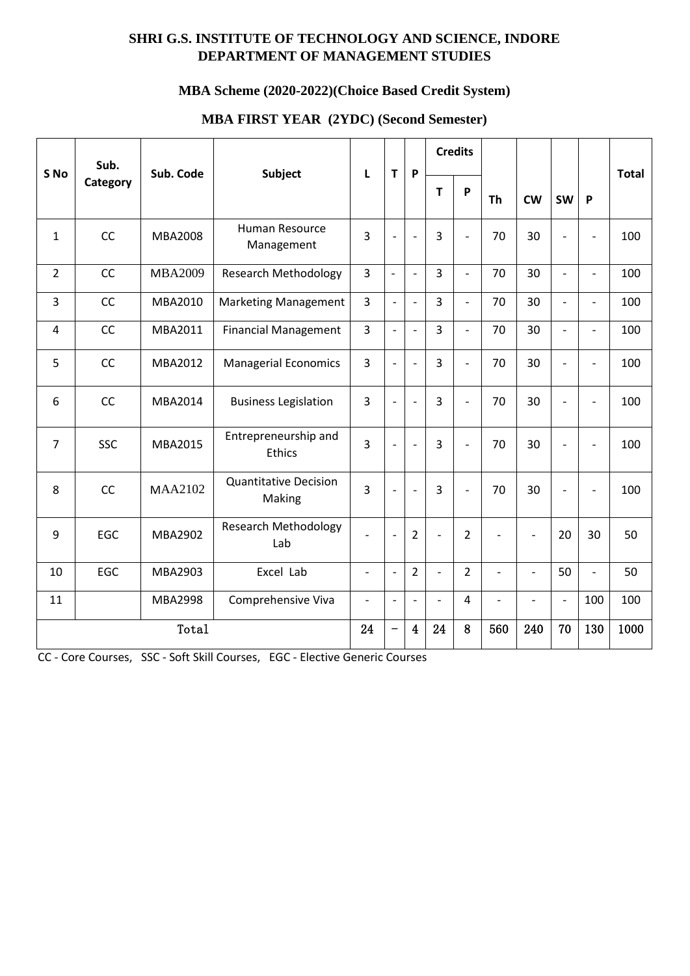### **SHRI G.S. INSTITUTE OF TECHNOLOGY AND SCIENCE, INDORE DEPARTMENT OF MANAGEMENT STUDIES**

### **MBA Scheme (2020-2022)(Choice Based Credit System)**

| S No                    | Sub.       | Sub. Code |                                        | $\mathsf{T}$             | P                            |                          | <b>Credits</b>           |                          |                          |                          |                          | <b>Total</b>             |      |
|-------------------------|------------|-----------|----------------------------------------|--------------------------|------------------------------|--------------------------|--------------------------|--------------------------|--------------------------|--------------------------|--------------------------|--------------------------|------|
|                         | Category   |           | Subject                                | L                        |                              |                          | T                        | P                        | <b>Th</b>                | <b>CW</b>                | <b>SW</b>                | P                        |      |
| $\mathbf{1}$            | CC         | MBA2008   | Human Resource<br>Management           | $\overline{3}$           |                              | $\overline{a}$           | $\overline{3}$           | $\overline{a}$           | 70                       | 30                       | $\overline{a}$           | $\overline{\phantom{a}}$ | 100  |
| $\overline{2}$          | CC         | MBA2009   | <b>Research Methodology</b>            | 3                        | $\overline{\phantom{a}}$     | $\overline{\phantom{a}}$ | 3                        | $\overline{\phantom{0}}$ | 70                       | 30                       | $\frac{1}{2}$            | $\overline{\phantom{0}}$ | 100  |
| 3                       | CC         | MBA2010   | <b>Marketing Management</b>            | 3                        | $\blacksquare$               | $\frac{1}{2}$            | 3                        | $\overline{\phantom{0}}$ | 70                       | 30                       | $\frac{1}{2}$            | $\overline{\phantom{a}}$ | 100  |
| $\overline{\mathbf{4}}$ | CC         | MBA2011   | <b>Financial Management</b>            | 3                        | $\frac{1}{2}$                | $\frac{1}{2}$            | 3                        | $\overline{\phantom{a}}$ | 70                       | 30                       | $\blacksquare$           | $\overline{\phantom{a}}$ | 100  |
| 5                       | CC         | MBA2012   | <b>Managerial Economics</b>            | $\overline{3}$           | $\blacksquare$               | $\overline{\phantom{a}}$ | $\overline{3}$           | $\overline{a}$           | 70                       | 30                       | $\overline{a}$           | $\overline{\phantom{0}}$ | 100  |
| 6                       | CC         | MBA2014   | <b>Business Legislation</b>            | 3                        | $\overline{a}$               | $\overline{a}$           | 3                        | $\overline{a}$           | 70                       | 30                       | $\overline{a}$           | $\overline{\phantom{a}}$ | 100  |
| $\overline{7}$          | <b>SSC</b> | MBA2015   | Entrepreneurship and<br>Ethics         | $\overline{3}$           |                              | $\overline{a}$           | $\overline{3}$           | $\overline{\phantom{0}}$ | 70                       | 30                       | $\overline{a}$           | $\overline{\phantom{a}}$ | 100  |
| 8                       | CC         | MAA2102   | <b>Quantitative Decision</b><br>Making | 3                        | $\overline{\phantom{a}}$     | $\overline{a}$           | 3                        | $\frac{1}{2}$            | 70                       | 30                       | $\overline{\phantom{a}}$ | $\overline{\phantom{a}}$ | 100  |
| 9                       | EGC        | MBA2902   | <b>Research Methodology</b><br>Lab     |                          | $\overline{a}$               | $\overline{2}$           | $\overline{\phantom{m}}$ | $\overline{2}$           | $\overline{\phantom{0}}$ | $\overline{\phantom{a}}$ | 20                       | 30                       | 50   |
| 10                      | EGC        | MBA2903   | Excel Lab                              | $\overline{\phantom{a}}$ | $\overline{\phantom{a}}$     | $\overline{2}$           | $\frac{1}{2}$            | $\overline{2}$           | $\overline{\phantom{0}}$ | $\qquad \qquad -$        | 50                       | $\overline{\phantom{0}}$ | 50   |
| 11                      |            | MBA2998   | Comprehensive Viva                     | $\overline{\phantom{a}}$ | $\overline{\phantom{a}}$     | $\overline{\phantom{a}}$ | $\frac{1}{2}$            | $\overline{4}$           | $\overline{\phantom{0}}$ | $\overline{\phantom{a}}$ | $\overline{\phantom{a}}$ | 100                      | 100  |
|                         |            | Total     |                                        | 24                       | $\qquad \qquad \blacksquare$ | $\overline{4}$           | 24                       | $\bf8$                   | 560                      | 240                      | 70                       | 130                      | 1000 |

#### **MBA FIRST YEAR (2YDC) (Second Semester)**

CC - Core Courses, SSC - Soft Skill Courses, EGC - Elective Generic Courses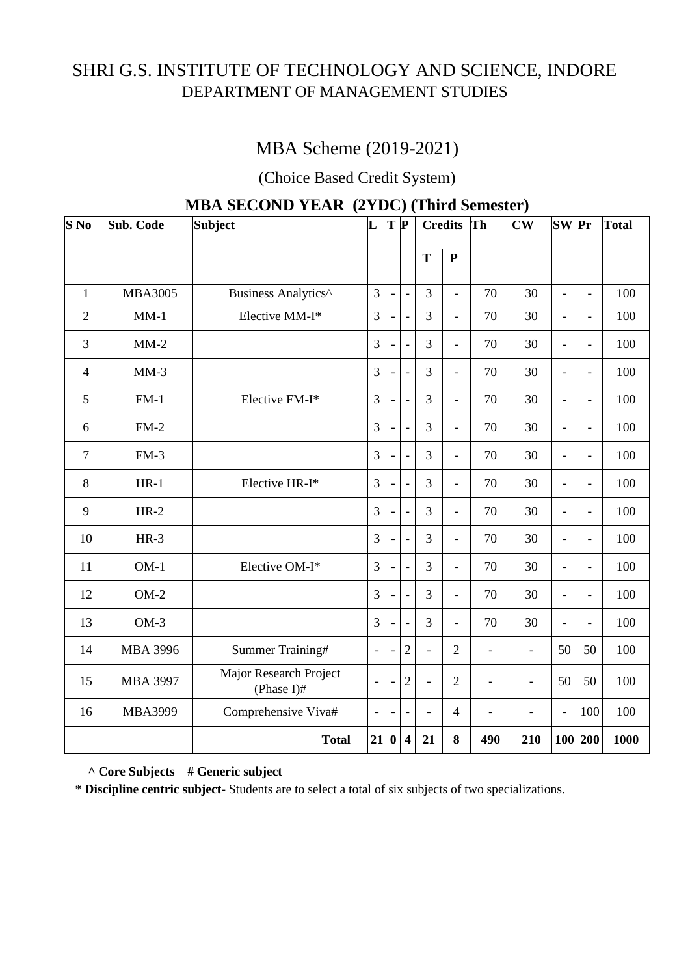# SHRI G.S. INSTITUTE OF TECHNOLOGY AND SCIENCE, INDORE DEPARTMENT OF MANAGEMENT STUDIES

# MBA Scheme (2019-2021)

(Choice Based Credit System)

| $S$ No         | <b>Sub. Code</b> | $\mathbf{L}$<br><b>Subject</b>       | L              | $T$ $\bf{P}$             |                          |                          | <b>Credits</b>           | Th                       | $\overline{\text{CW}}$   | <b>SW</b> Pr             |                          | <b>Total</b> |
|----------------|------------------|--------------------------------------|----------------|--------------------------|--------------------------|--------------------------|--------------------------|--------------------------|--------------------------|--------------------------|--------------------------|--------------|
|                |                  |                                      |                |                          |                          | T                        | ${\bf P}$                |                          |                          |                          |                          |              |
| $\mathbf{1}$   | <b>MBA3005</b>   | Business Analytics^                  | $\overline{3}$ | $\blacksquare$           | $\overline{a}$           | 3                        | $\frac{1}{2}$            | 70                       | 30                       | $\overline{a}$           | $\overline{a}$           | 100          |
| $\overline{2}$ | $MM-1$           | Elective MM-I*                       | 3              |                          | $\overline{a}$           | 3                        | $\overline{a}$           | 70                       | 30                       | $\overline{a}$           | $\overline{a}$           | 100          |
| 3              | $MM-2$           |                                      | 3              | $\overline{\phantom{a}}$ | $\overline{\phantom{a}}$ | 3                        | $\overline{\phantom{0}}$ | 70                       | 30                       | $\overline{a}$           | $\overline{\phantom{0}}$ | 100          |
| $\overline{4}$ | $MM-3$           |                                      | 3              |                          | $\overline{a}$           | 3                        | $\frac{1}{2}$            | 70                       | 30                       | $\overline{\phantom{a}}$ | $\overline{a}$           | 100          |
| 5              | $FM-1$           | Elective FM-I*                       | $\overline{3}$ |                          | $\overline{a}$           | 3                        | $\overline{\phantom{0}}$ | 70                       | 30                       | $\overline{\phantom{0}}$ | $\overline{a}$           | 100          |
| 6              | $FM-2$           |                                      | $\overline{3}$ |                          | ÷,                       | 3                        | $\frac{1}{2}$            | 70                       | 30                       | $\overline{a}$           | $\overline{a}$           | 100          |
| $\overline{7}$ | $FM-3$           |                                      | $\overline{3}$ |                          | $\overline{\phantom{m}}$ | 3                        | $\overline{a}$           | 70                       | 30                       | $\overline{a}$           | $\overline{\phantom{0}}$ | 100          |
| 8              | $HR-1$           | Elective HR-I*                       | $\overline{3}$ | $\overline{\phantom{a}}$ | $\frac{1}{2}$            | 3                        | $\frac{1}{2}$            | 70                       | 30                       | $\blacksquare$           | $\overline{a}$           | 100          |
| 9              | $HR-2$           |                                      | $\overline{3}$ | $\overline{\phantom{0}}$ | $\overline{a}$           | 3                        | $\frac{1}{2}$            | 70                       | 30                       | $\blacksquare$           | $\overline{a}$           | 100          |
| 10             | $HR-3$           |                                      | 3              |                          | $\overline{a}$           | 3                        | $\overline{a}$           | 70                       | 30                       | $\equiv$                 | $\overline{a}$           | 100          |
| 11             | $OM-1$           | Elective OM-I*                       | 3              | $\overline{\phantom{a}}$ | $\overline{a}$           | 3                        | $\frac{1}{2}$            | 70                       | 30                       | $\blacksquare$           | $\overline{a}$           | 100          |
| 12             | $OM-2$           |                                      | 3              | $\overline{\phantom{a}}$ | $\overline{\phantom{a}}$ | 3                        | $\overline{a}$           | 70                       | 30                       | $\overline{\phantom{a}}$ | $\overline{a}$           | 100          |
| 13             | $OM-3$           |                                      | 3              | $\overline{\phantom{a}}$ | $\overline{a}$           | 3                        | $\blacksquare$           | 70                       | 30                       | $\equiv$                 | $\overline{a}$           | 100          |
| 14             | <b>MBA 3996</b>  | Summer Training#                     | $\overline{a}$ |                          | $\overline{2}$           | $\overline{a}$           | $\overline{2}$           | $\overline{\phantom{a}}$ | $\frac{1}{2}$            | 50                       | 50                       | 100          |
| 15             | <b>MBA 3997</b>  | Major Research Project<br>(Phase I)# |                |                          | $\overline{2}$           | $\overline{\phantom{0}}$ | $\overline{2}$           | $\overline{\phantom{0}}$ | $\overline{\phantom{0}}$ | 50                       | 50                       | 100          |
| 16             | MBA3999          | Comprehensive Viva#                  |                |                          |                          | $\overline{a}$           | $\overline{4}$           | $\overline{a}$           | $\overline{a}$           | $\equiv$                 | 100                      | 100          |
|                |                  | <b>Total</b>                         | 21             | $\bf{0}$                 | $\overline{\mathbf{4}}$  | 21                       | 8                        | 490                      | 210                      |                          | 100 200                  | 1000         |

### **MBA SECOND YEAR (2YDC) (Third Semester)**

**^ Core Subjects # Generic subject**

\* **Discipline centric subject**- Students are to select a total of six subjects of two specializations.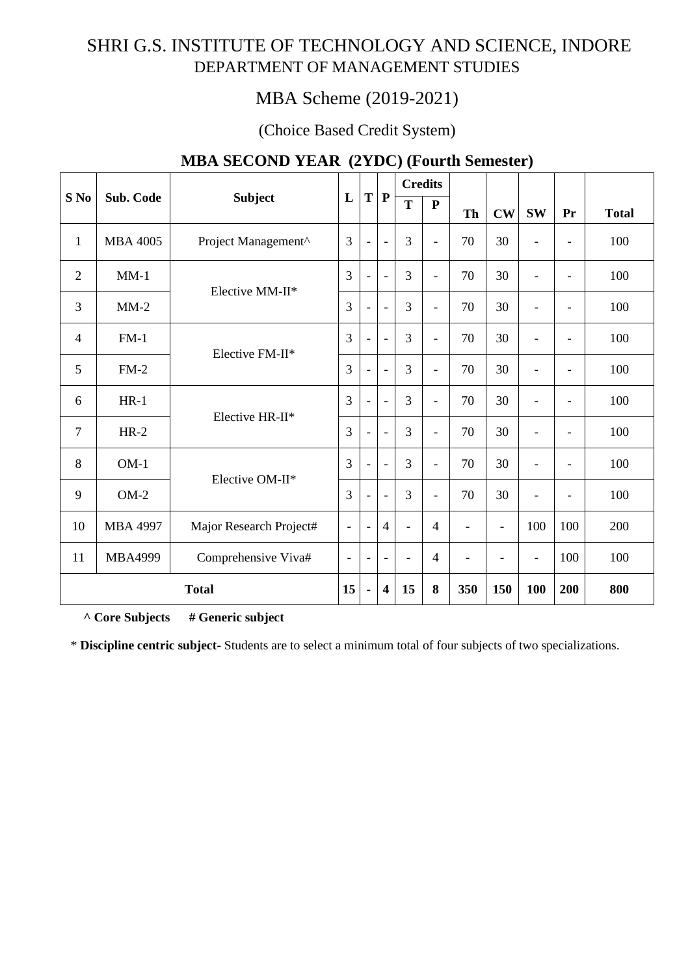# SHRI G.S. INSTITUTE OF TECHNOLOGY AND SCIENCE, INDORE DEPARTMENT OF MANAGEMENT STUDIES

# MBA Scheme (2019-2021)

### (Choice Based Credit System)

|                |                 |                         |                          |                          |                          | <b>Credits</b> |                              |                |                          |                          |                          |              |
|----------------|-----------------|-------------------------|--------------------------|--------------------------|--------------------------|----------------|------------------------------|----------------|--------------------------|--------------------------|--------------------------|--------------|
| S No           | Sub. Code       | <b>Subject</b>          | L                        | T                        | $\mathbf{P}$             | T              | ${\bf P}$                    | Th             | $\mathbf{CW}$            | <b>SW</b>                | Pr                       | <b>Total</b> |
| $\mathbf{1}$   | <b>MBA 4005</b> | Project Management^     | 3                        | $\overline{\phantom{a}}$ | $\overline{a}$           | 3              | $\overline{\phantom{a}}$     | 70             | 30                       |                          |                          | 100          |
| $\overline{2}$ | $MM-1$          |                         | $\overline{3}$           | $\blacksquare$           | $\bar{a}$                | $\overline{3}$ | $\overline{\phantom{a}}$     | 70             | 30                       |                          | $\blacksquare$           | 100          |
| 3              | $MM-2$          | Elective MM-II*         |                          | $\overline{\phantom{a}}$ | $\blacksquare$           | 3              | $\overline{\phantom{a}}$     | 70             | 30                       | $\overline{\phantom{a}}$ | $\blacksquare$           | 100          |
| $\overline{4}$ | $FM-1$          | Elective FM-II*         |                          | ۰                        | $\overline{\phantom{a}}$ | 3              | $\overline{\phantom{a}}$     | 70             | 30                       |                          | $\blacksquare$           | 100          |
| 5              | $FM-2$          |                         |                          | L,                       | $\blacksquare$           | 3              | $\overline{\phantom{a}}$     | 70             | 30                       | $\blacksquare$           | $\blacksquare$           | 100          |
| 6              | $HR-1$          | Elective HR-II*         | 3                        | $\blacksquare$           | $\bar{a}$                | 3              | $\qquad \qquad \blacksquare$ | 70             | 30                       |                          | $\overline{\phantom{a}}$ | 100          |
| $\tau$         | $HR-2$          |                         | 3                        |                          |                          | 3              | $\overline{\phantom{a}}$     | 70             | 30                       |                          | $\overline{\phantom{a}}$ | 100          |
| 8              | $OM-1$          | Elective OM-II*         | 3                        | $\overline{\phantom{a}}$ | $\overline{\phantom{a}}$ | 3              | $\overline{\phantom{a}}$     | 70             | 30                       | $\overline{\phantom{a}}$ | $\overline{\phantom{a}}$ | 100          |
| 9              | $OM-2$          |                         | 3                        | $\overline{\phantom{a}}$ | $\overline{a}$           | 3              | $\overline{a}$               | 70             | 30                       |                          | $\overline{\phantom{a}}$ | 100          |
| 10             | <b>MBA 4997</b> | Major Research Project# | $\overline{\phantom{a}}$ | $\overline{\phantom{a}}$ | $\overline{4}$           | $\blacksquare$ | $\overline{4}$               | $\overline{a}$ | $\overline{\phantom{a}}$ | 100                      | 100                      | 200          |
| 11             | <b>MBA4999</b>  | Comprehensive Viva#     | $\overline{\phantom{a}}$ | $\overline{\phantom{a}}$ |                          |                | $\overline{4}$               |                | $\overline{\phantom{a}}$ | $\blacksquare$           | 100                      | 100          |
| <b>Total</b>   |                 |                         | 15                       | à,                       | $\overline{\mathbf{4}}$  | 15             | 8                            | 350            | 150                      | 100                      | 200                      | 800          |

### **MBA SECOND YEAR (2YDC) (Fourth Semester)**

**^ Core Subjects # Generic subject**

\* **Discipline centric subject**- Students are to select a minimum total of four subjects of two specializations.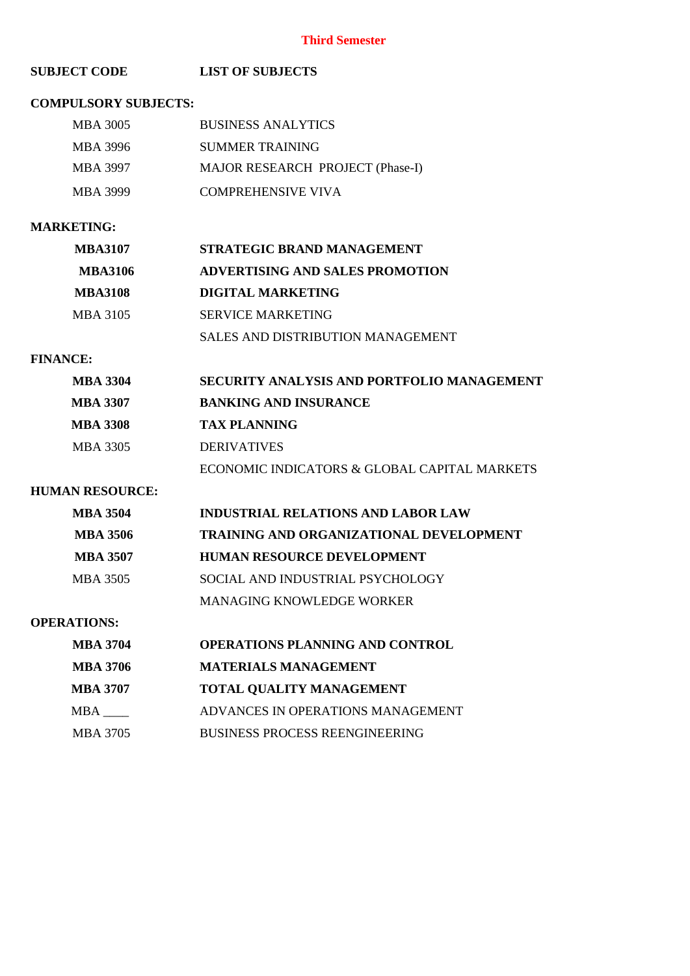#### **Third Semester**

#### **SUBJECT CODE LIST OF SUBJECTS**

#### **COMPULSORY SUBJECTS:**

| MBA 3005 | <b>BUSINESS ANALYTICS</b>        |
|----------|----------------------------------|
| MBA 3996 | SUMMER TRAINING                  |
| MBA 3997 | MAJOR RESEARCH PROJECT (Phase-I) |
| MBA 3999 | <b>COMPREHENSIVE VIVA</b>        |

### **MARKETING:**

| <b>MBA3107</b> | STRATEGIC BRAND MANAGEMENT             |
|----------------|----------------------------------------|
| <b>MBA3106</b> | <b>ADVERTISING AND SALES PROMOTION</b> |
| <b>MBA3108</b> | DIGITAL MARKETING                      |
| MBA 3105       | <b>SERVICE MARKETING</b>               |
|                | SALES AND DISTRIBUTION MANAGEMENT      |

#### **FINANCE:**

| <b>MBA 3304</b> | SECURITY ANALYSIS AND PORTFOLIO MANAGEMENT   |
|-----------------|----------------------------------------------|
| MBA 3307        | <b>BANKING AND INSURANCE</b>                 |
| <b>MBA 3308</b> | <b>TAX PLANNING</b>                          |
| MBA 3305        | <b>DERIVATIVES</b>                           |
|                 | ECONOMIC INDICATORS & GLOBAL CAPITAL MARKETS |

#### **HUMAN RESOURCE:**

| <b>MBA 3504</b> | <b>INDUSTRIAL RELATIONS AND LABOR LAW</b>      |
|-----------------|------------------------------------------------|
| <b>MBA 3506</b> | <b>TRAINING AND ORGANIZATIONAL DEVELOPMENT</b> |
| <b>MBA 3507</b> | <b>HUMAN RESOURCE DEVELOPMENT</b>              |
| MBA 3505        | SOCIAL AND INDUSTRIAL PSYCHOLOGY               |
|                 | <b>MANAGING KNOWLEDGE WORKER</b>               |

#### **OPERATIONS:**

| <b>MBA 3704</b> | OPERATIONS PLANNING AND CONTROL       |
|-----------------|---------------------------------------|
| <b>MBA 3706</b> | <b>MATERIALS MANAGEMENT</b>           |
| MBA 3707        | <b>TOTAL QUALITY MANAGEMENT</b>       |
| MBA M           | ADVANCES IN OPERATIONS MANAGEMENT     |
| MBA 3705        | <b>BUSINESS PROCESS REENGINEERING</b> |